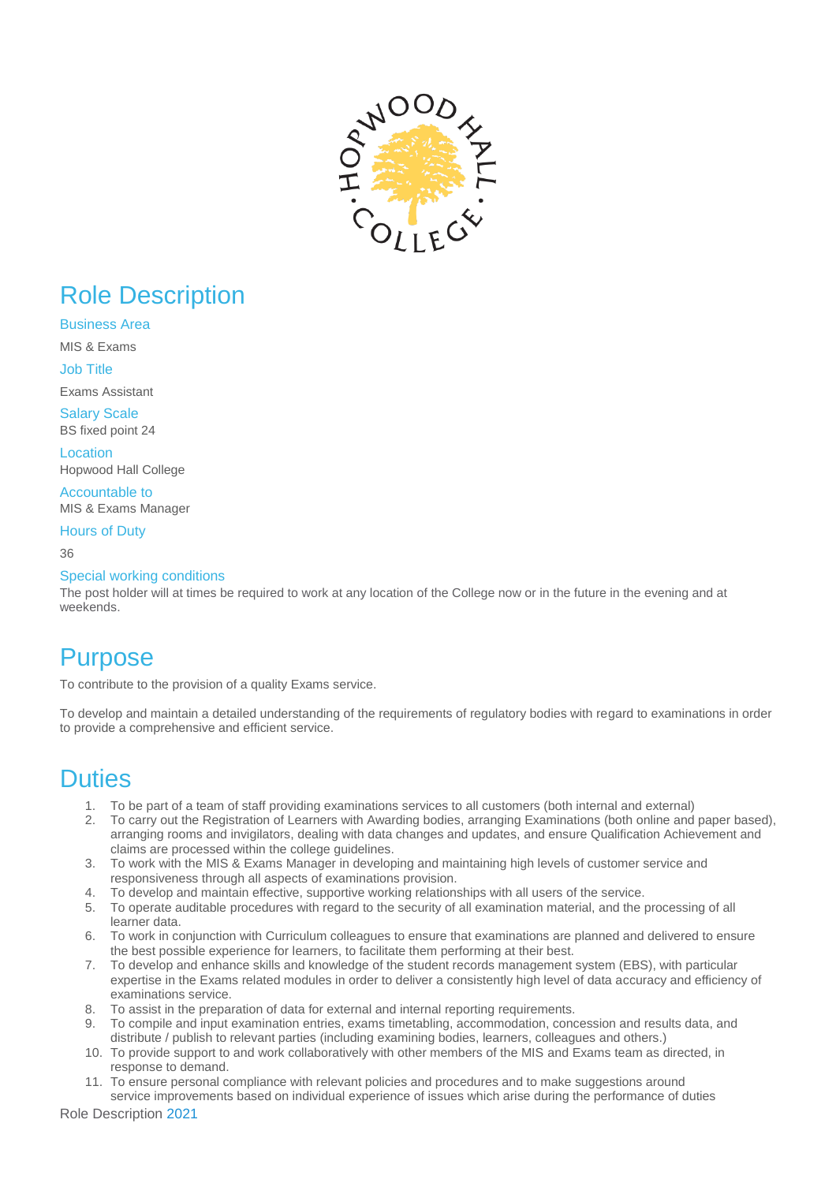

# Role Description

Business Area

MIS & Exams

Job Title

Exams Assistant Salary Scale BS fixed point 24

Location Hopwood Hall College

Accountable to MIS & Exams Manager

Hours of Duty

36

#### Special working conditions

The post holder will at times be required to work at any location of the College now or in the future in the evening and at weekends.

## **Purpose**

To contribute to the provision of a quality Exams service.

To develop and maintain a detailed understanding of the requirements of regulatory bodies with regard to examinations in order to provide a comprehensive and efficient service.

### **Duties**

- 1. To be part of a team of staff providing examinations services to all customers (both internal and external)
- 2. To carry out the Registration of Learners with Awarding bodies, arranging Examinations (both online and paper based), arranging rooms and invigilators, dealing with data changes and updates, and ensure Qualification Achievement and claims are processed within the college guidelines.
- 3. To work with the MIS & Exams Manager in developing and maintaining high levels of customer service and responsiveness through all aspects of examinations provision.
- 4. To develop and maintain effective, supportive working relationships with all users of the service.
- 5. To operate auditable procedures with regard to the security of all examination material, and the processing of all learner data.
- 6. To work in conjunction with Curriculum colleagues to ensure that examinations are planned and delivered to ensure the best possible experience for learners, to facilitate them performing at their best.
- 7. To develop and enhance skills and knowledge of the student records management system (EBS), with particular expertise in the Exams related modules in order to deliver a consistently high level of data accuracy and efficiency of examinations service.
- 8. To assist in the preparation of data for external and internal reporting requirements.
- 9. To compile and input examination entries, exams timetabling, accommodation, concession and results data, and distribute / publish to relevant parties (including examining bodies, learners, colleagues and others.)
- 10. To provide support to and work collaboratively with other members of the MIS and Exams team as directed, in response to demand.
- 11. To ensure personal compliance with relevant policies and procedures and to make suggestions around service improvements based on individual experience of issues which arise during the performance of duties

Role Description 2021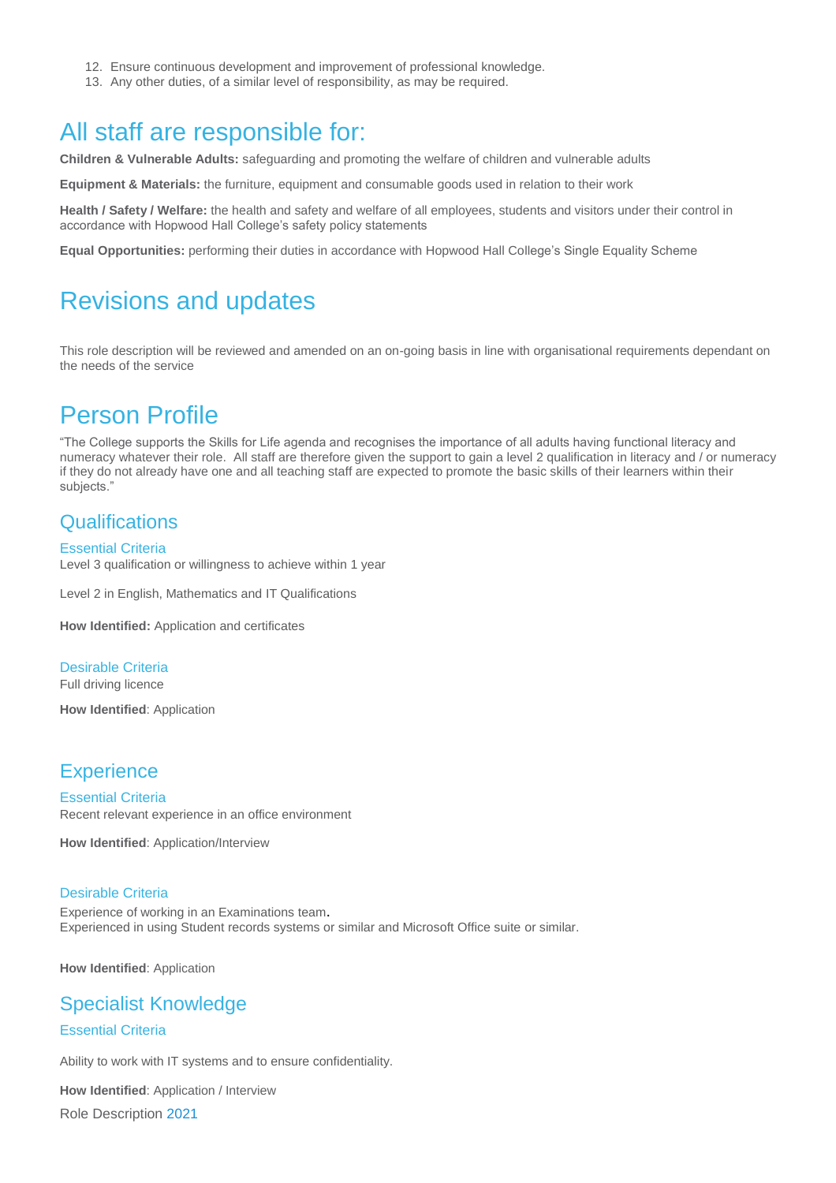- 12. Ensure continuous development and improvement of professional knowledge.
- 13. Any other duties, of a similar level of responsibility, as may be required.

## All staff are responsible for:

**Children & Vulnerable Adults:** safeguarding and promoting the welfare of children and vulnerable adults

**Equipment & Materials:** the furniture, equipment and consumable goods used in relation to their work

**Health / Safety / Welfare:** the health and safety and welfare of all employees, students and visitors under their control in accordance with Hopwood Hall College's safety policy statements

**Equal Opportunities:** performing their duties in accordance with Hopwood Hall College's Single Equality Scheme

## Revisions and updates

This role description will be reviewed and amended on an on-going basis in line with organisational requirements dependant on the needs of the service

## Person Profile

"The College supports the Skills for Life agenda and recognises the importance of all adults having functional literacy and numeracy whatever their role. All staff are therefore given the support to gain a level 2 qualification in literacy and / or numeracy if they do not already have one and all teaching staff are expected to promote the basic skills of their learners within their subjects."

### **Qualifications**

#### Essential Criteria

Level 3 qualification or willingness to achieve within 1 year

Level 2 in English, Mathematics and IT Qualifications

**How Identified:** Application and certificates

#### Desirable Criteria

Full driving licence

**How Identified**: Application

#### **Experience**

Essential Criteria Recent relevant experience in an office environment

**How Identified**: Application/Interview

#### Desirable Criteria

Experience of working in an Examinations team. Experienced in using Student records systems or similar and Microsoft Office suite or similar.

**How Identified**: Application

### Specialist Knowledge

#### Essential Criteria

Ability to work with IT systems and to ensure confidentiality.

Role Description 2021 **How Identified**: Application / Interview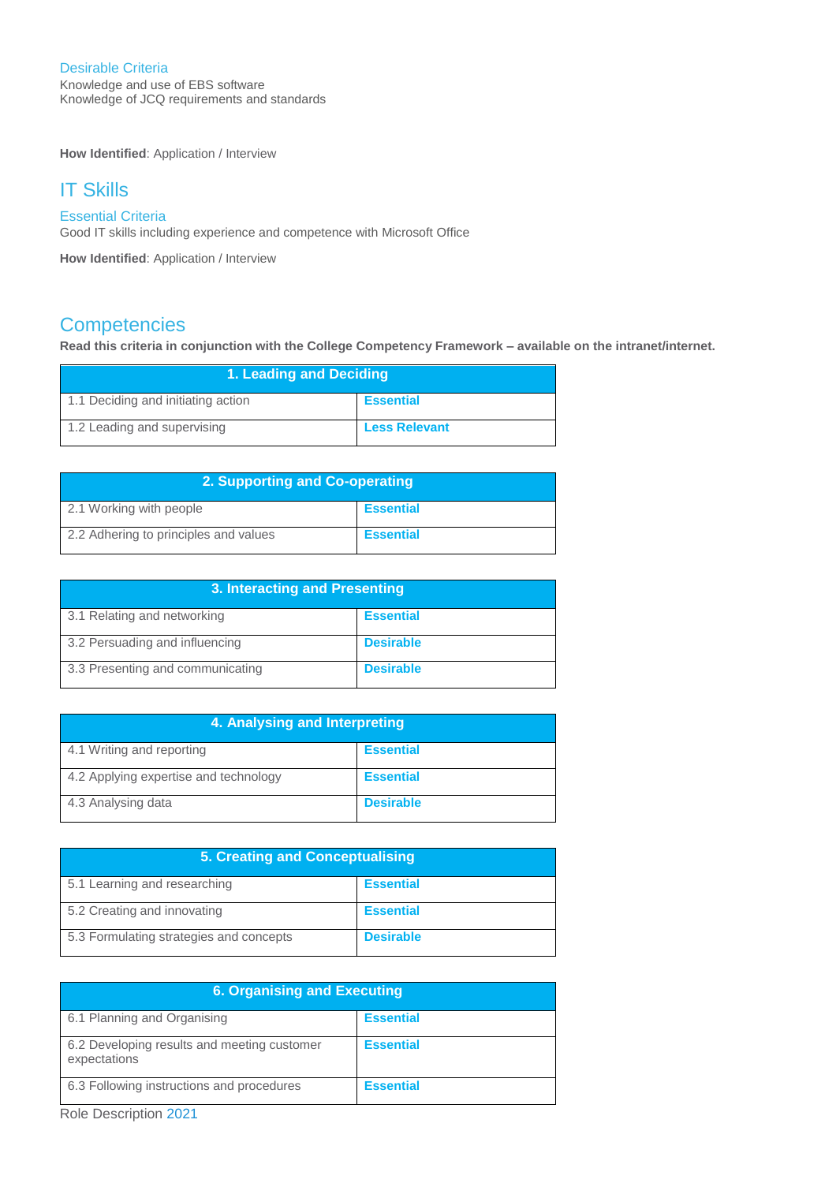#### Desirable Criteria

Knowledge and use of EBS software Knowledge of JCQ requirements and standards

**How Identified**: Application / Interview

### IT Skills

#### Essential Criteria

Good IT skills including experience and competence with Microsoft Office

**How Identified**: Application / Interview

### **Competencies**

**Read this criteria in conjunction with the College Competency Framework – available on the intranet/internet.**

| 1. Leading and Deciding            |                      |
|------------------------------------|----------------------|
| 1.1 Deciding and initiating action | <b>Essential</b>     |
| 1.2 Leading and supervising        | <b>Less Relevant</b> |

| 2. Supporting and Co-operating        |                  |
|---------------------------------------|------------------|
| 2.1 Working with people               | <b>Essential</b> |
| 2.2 Adhering to principles and values | <b>Essential</b> |

| 3. Interacting and Presenting    |                  |
|----------------------------------|------------------|
| 3.1 Relating and networking      | <b>Essential</b> |
| 3.2 Persuading and influencing   | <b>Desirable</b> |
| 3.3 Presenting and communicating | <b>Desirable</b> |

| 4. Analysing and Interpreting         |                  |
|---------------------------------------|------------------|
| 4.1 Writing and reporting             | <b>Essential</b> |
| 4.2 Applying expertise and technology | <b>Essential</b> |
| 4.3 Analysing data                    | <b>Desirable</b> |

| <b>5. Creating and Conceptualising</b>  |                  |
|-----------------------------------------|------------------|
| 5.1 Learning and researching            | <b>Essential</b> |
| 5.2 Creating and innovating             | <b>Essential</b> |
| 5.3 Formulating strategies and concepts | <b>Desirable</b> |

| <b>6. Organising and Executing</b>                          |                  |
|-------------------------------------------------------------|------------------|
| 6.1 Planning and Organising                                 | <b>Essential</b> |
| 6.2 Developing results and meeting customer<br>expectations | <b>Essential</b> |
| 6.3 Following instructions and procedures                   | <b>Essential</b> |

Role Description 2021